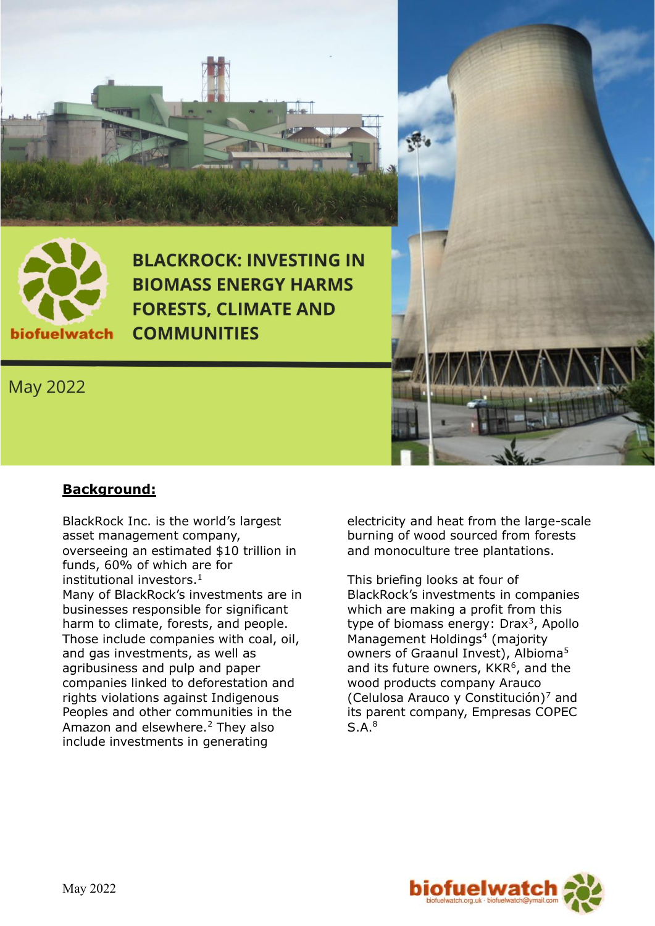

**May 2022** 

#### **Background:**

BlackRock Inc. is the world's largest asset management company, overseeing an estimated \$10 trillion in funds, 60% of which are for institutional investors.<sup>1</sup> Many of BlackRock's investments are in businesses responsible for significant harm to climate, forests, and people. Those include companies with coal, oil, and gas investments, as well as agribusiness and pulp and paper companies linked to deforestation and rights violations against Indigenous Peoples and other communities in the Amazon and elsewhere.<sup>2</sup> They also include investments in generating

electricity and heat from the large-scale burning of wood sourced from forests and monoculture tree plantations.

This briefing looks at four of BlackRock's investments in companies which are making a profit from this type of biomass energy:  $Drax<sup>3</sup>$ , Apollo Management Holdings<sup>4</sup> (majority owners of Graanul Invest), Albioma<sup>5</sup> and its future owners,  $KKR^6$ , and the wood products company Arauco (Celulosa Arauco y Constitución)<sup>7</sup> and its parent company, Empresas COPEC S.A.8

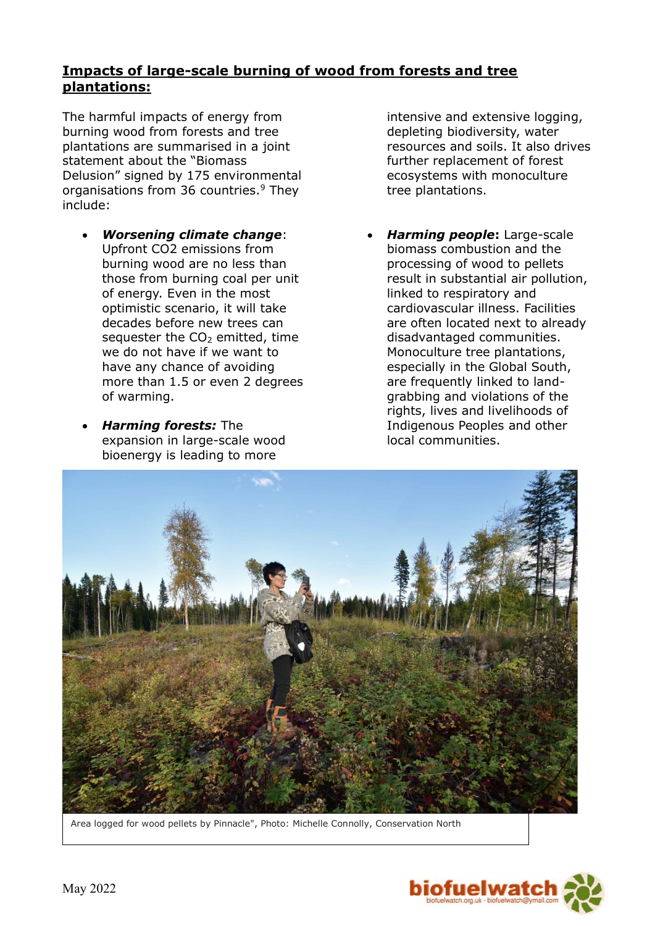## **Impacts of large-scale burning of wood from forests and tree plantations:**

The harmful impacts of energy from burning wood from forests and tree plantations are summarised in a joint statement about the "Biomass Delusion" signed by 175 environmental organisations from 36 countries.<sup>9</sup> They include:

- *Worsening climate change*: Upfront CO2 emissions from burning wood are no less than those from burning coal per unit of energy. Even in the most optimistic scenario, it will take decades before new trees can sequester the  $CO<sub>2</sub>$  emitted, time we do not have if we want to have any chance of avoiding more than 1.5 or even 2 degrees of warming.
- *Harming forests:* The expansion in large-scale wood bioenergy is leading to more

intensive and extensive logging, depleting biodiversity, water resources and soils. It also drives further replacement of forest ecosystems with monoculture tree plantations.

• *Harming people***:** Large-scale biomass combustion and the processing of wood to pellets result in substantial air pollution, linked to respiratory and cardiovascular illness. Facilities are often located next to already disadvantaged communities. Monoculture tree plantations, especially in the Global South, are frequently linked to landgrabbing and violations of the rights, lives and livelihoods of Indigenous Peoples and other local communities.



Area logged for wood pellets by Pinnacle", Photo: Michelle Connolly, Conservation North

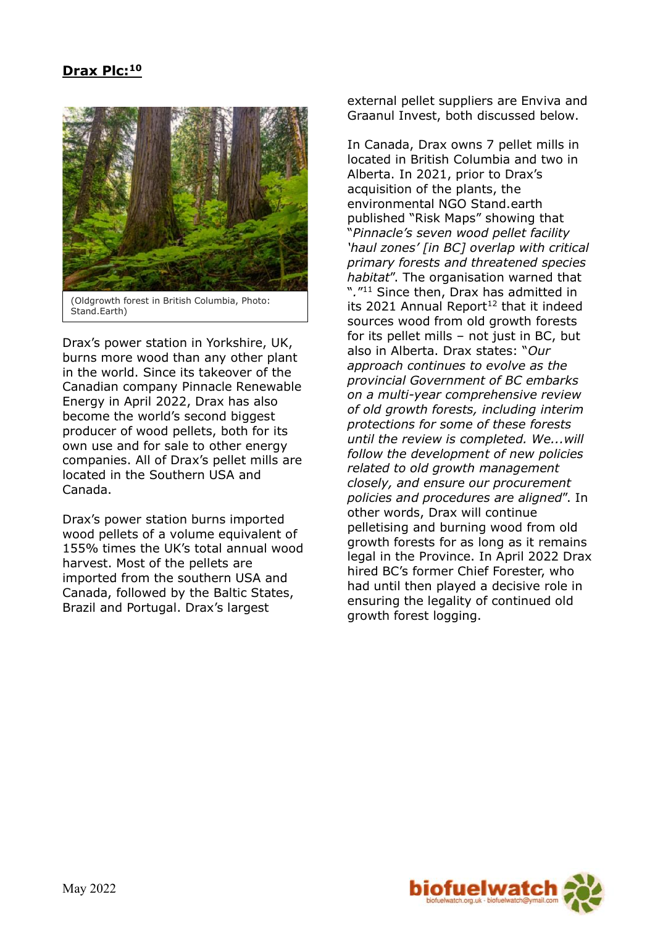## **Drax Plc:<sup>10</sup>**



(Oldgrowth forest in British Columbia, Photo: Stand.Earth)

Drax's power station in Yorkshire, UK, burns more wood than any other plant in the world. Since its takeover of the Canadian company Pinnacle Renewable Energy in April 2022, Drax has also become the world's second biggest producer of wood pellets, both for its own use and for sale to other energy companies. All of Drax's pellet mills are located in the Southern USA and Canada.

Drax's power station burns imported wood pellets of a volume equivalent of 155% times the UK's total annual wood harvest. Most of the pellets are imported from the southern USA and Canada, followed by the Baltic States, Brazil and Portugal. Drax's largest

external pellet suppliers are Enviva and Graanul Invest, both discussed below.

In Canada, Drax owns 7 pellet mills in located in British Columbia and two in Alberta. In 2021, prior to Drax's acquisition of the plants, the environmental NGO Stand.earth published "Risk Maps" showing that "*Pinnacle's seven wood pellet facility 'haul zones' [in BC] overlap with critical primary forests and threatened species habitat*". The organisation warned that "*.*" <sup>11</sup> Since then, Drax has admitted in its 2021 Annual Report $12$  that it indeed sources wood from old growth forests for its pellet mills – not just in BC, but also in Alberta. Drax states: "*Our approach continues to evolve as the provincial Government of BC embarks on a multi-year comprehensive review of old growth forests, including interim protections for some of these forests until the review is completed. We...will follow the development of new policies related to old growth management closely, and ensure our procurement policies and procedures are aligned*". In other words, Drax will continue pelletising and burning wood from old growth forests for as long as it remains legal in the Province. In April 2022 Drax hired BC's former Chief Forester, who had until then played a decisive role in ensuring the legality of continued old growth forest logging.

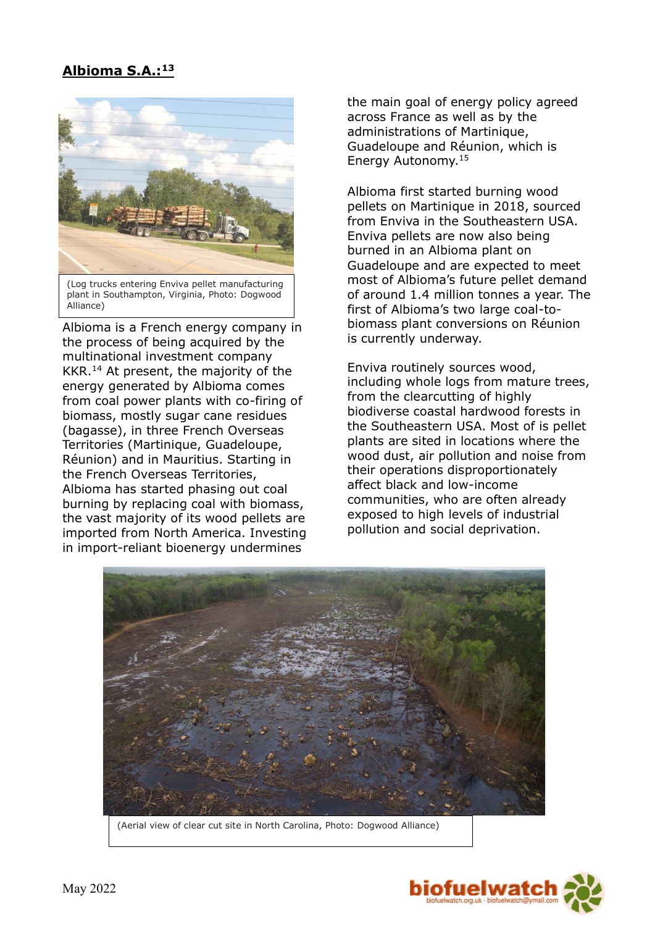# **Albioma S.A.:<sup>13</sup>**



(Log trucks entering Enviva pellet manufacturing plant in Southampton, Virginia, Photo: Dogwood Alliance)

Albioma is a French energy company in the process of being acquired by the multinational investment company KKR.<sup>14</sup> At present, the majority of the energy generated by Albioma comes from coal power plants with co-firing of biomass, mostly sugar cane residues (bagasse), in three French Overseas Territories (Martinique, Guadeloupe, Réunion) and in Mauritius. Starting in the French Overseas Territories, Albioma has started phasing out coal burning by replacing coal with biomass, the vast majority of its wood pellets are imported from North America. Investing in import-reliant bioenergy undermines

the main goal of energy policy agreed across France as well as by the administrations of Martinique, Guadeloupe and Réunion, which is Energy Autonomy.<sup>15</sup>

Albioma first started burning wood pellets on Martinique in 2018, sourced from Enviva in the Southeastern USA. Enviva pellets are now also being burned in an Albioma plant on Guadeloupe and are expected to meet most of Albioma's future pellet demand of around 1.4 million tonnes a year. The first of Albioma's two large coal-tobiomass plant conversions on Réunion is currently underway.

Enviva routinely sources wood, including whole logs from mature trees, from the clearcutting of highly biodiverse coastal hardwood forests in the Southeastern USA. Most of is pellet plants are sited in locations where the wood dust, air pollution and noise from their operations disproportionately affect black and low-income communities, who are often already exposed to high levels of industrial pollution and social deprivation.



(Aerial view of clear cut site in North Carolina, Photo: Dogwood Alliance)

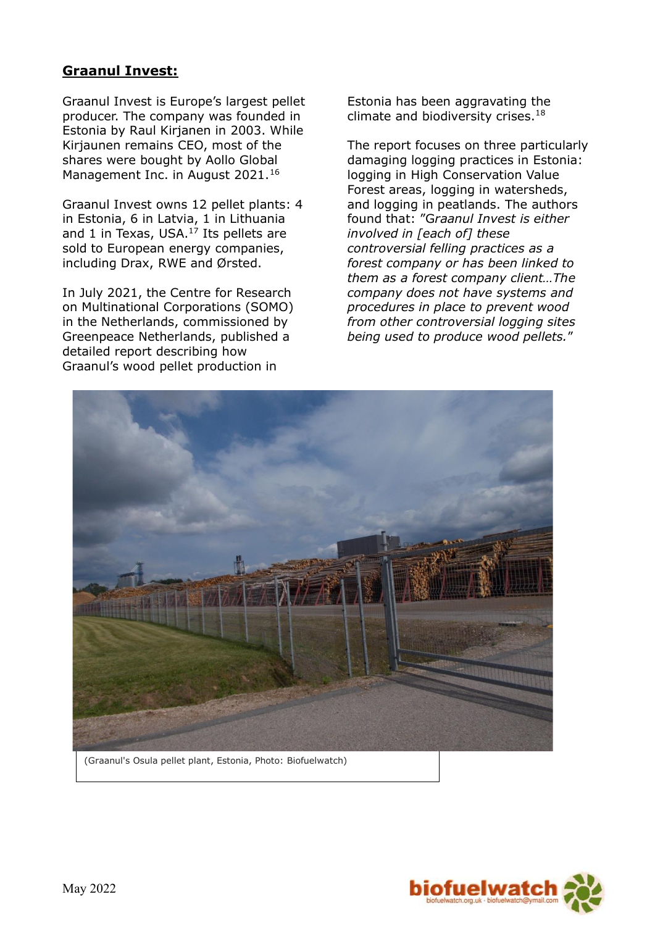# **Graanul Invest:**

Graanul Invest is Europe's largest pellet producer. The company was founded in Estonia by Raul Kirjanen in 2003. While Kirjaunen remains CEO, most of the shares were bought by Aollo Global Management Inc. in August 2021.<sup>16</sup>

Graanul Invest owns 12 pellet plants: 4 in Estonia, 6 in Latvia, 1 in Lithuania and 1 in Texas, USA. $17$  Its pellets are sold to European energy companies, including Drax, RWE and Ørsted.

In July 2021, the Centre for Research on Multinational Corporations (SOMO) in the Netherlands, commissioned by Greenpeace Netherlands, published a detailed report describing how Graanul's wood pellet production in

Estonia has been aggravating the climate and biodiversity crises. $18$ 

The report focuses on three particularly damaging logging practices in Estonia: logging in High Conservation Value Forest areas, logging in watersheds, and logging in peatlands. The authors found that: "G*raanul Invest is either involved in [each of] these controversial felling practices as a forest company or has been linked to them as a forest company client…The company does not have systems and procedures in place to prevent wood from other controversial logging sites being used to produce wood pellets.*"



(Graanul's Osula pellet plant, Estonia, Photo: Biofuelwatch)

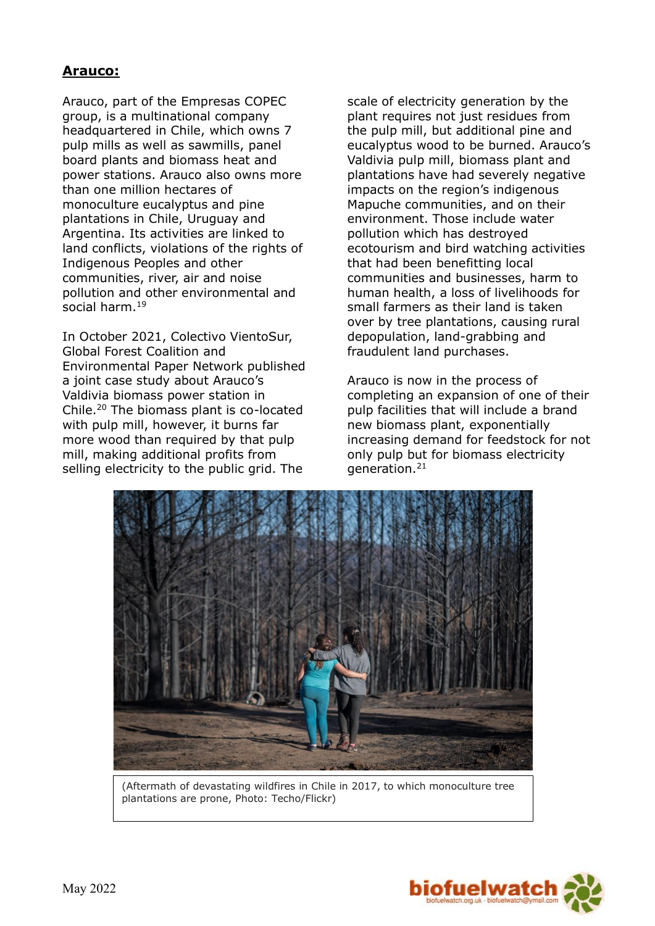# **Arauco:**

Arauco, part of the Empresas COPEC group, is a multinational company headquartered in Chile, which owns 7 pulp mills as well as sawmills, panel board plants and biomass heat and power stations. Arauco also owns more than one million hectares of monoculture eucalyptus and pine plantations in Chile, Uruguay and Argentina. Its activities are linked to land conflicts, violations of the rights of Indigenous Peoples and other communities, river, air and noise pollution and other environmental and social harm.<sup>19</sup>

In October 2021, Colectivo VientoSur, Global Forest Coalition and Environmental Paper Network published a joint case study about Arauco's Valdivia biomass power station in Chile.<sup>20</sup> The biomass plant is co-located with pulp mill, however, it burns far more wood than required by that pulp mill, making additional profits from selling electricity to the public grid. The

scale of electricity generation by the plant requires not just residues from the pulp mill, but additional pine and eucalyptus wood to be burned. Arauco's Valdivia pulp mill, biomass plant and plantations have had severely negative impacts on the region's indigenous Mapuche communities, and on their environment. Those include water pollution which has destroyed ecotourism and bird watching activities that had been benefitting local communities and businesses, harm to human health, a loss of livelihoods for small farmers as their land is taken over by tree plantations, causing rural depopulation, land-grabbing and fraudulent land purchases.

Arauco is now in the process of completing an expansion of one of their pulp facilities that will include a brand new biomass plant, exponentially increasing demand for feedstock for not only pulp but for biomass electricity generation.<sup>21</sup>



(Aftermath of devastating wildfires in Chile in 2017, to which monoculture tree plantations are prone, Photo: Techo/Flickr)